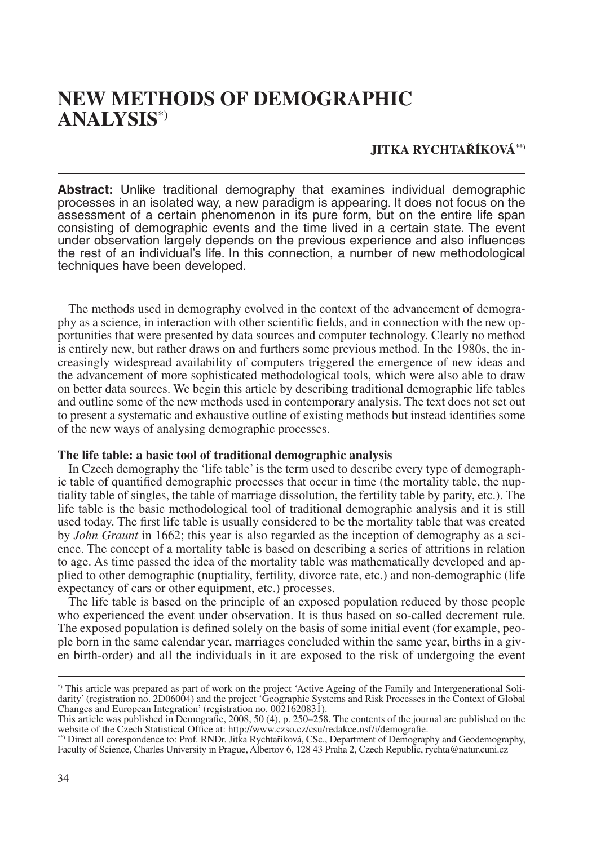# **NEW METHODS OF DEMOGRAPHIC ANALYSIS**\***)**

## **JITKA RYCHTAŘÍKOVÁ\*\*)**

**Abstract:** Unlike traditional demography that examines individual demographic processes in an isolated way, a new paradigm is appearing. It does not focus on the assessment of a certain phenomenon in its pure form, but on the entire life span consisting of demographic events and the time lived in a certain state. The event under observation largely depends on the previous experience and also influences the rest of an individual's life. In this connection, a number of new methodological techniques have been developed.

The methods used in demography evolved in the context of the advancement of demography as a science, in interaction with other scientific fields, and in connection with the new opportunities that were presented by data sources and computer technology. Clearly no method is entirely new, but rather draws on and furthers some previous method. In the 1980s, the increasingly widespread availability of computers triggered the emergence of new ideas and the advancement of more sophisticated methodological tools, which were also able to draw on better data sources. We begin this article by describing traditional demographic life tables and outline some of the new methods used in contemporary analysis. The text does not set out to present a systematic and exhaustive outline of existing methods but instead identifies some of the new ways of analysing demographic processes.

### **The life table: a basic tool of traditional demographic analysis**

In Czech demography the 'life table' is the term used to describe every type of demographic table of quantified demographic processes that occur in time (the mortality table, the nuptiality table of singles, the table of marriage dissolution, the fertility table by parity, etc.). The life table is the basic methodological tool of traditional demographic analysis and it is still used today. The first life table is usually considered to be the mortality table that was created by *John Graunt* in 1662; this year is also regarded as the inception of demography as a science. The concept of a mortality table is based on describing a series of attritions in relation to age. As time passed the idea of the mortality table was mathematically developed and applied to other demographic (nuptiality, fertility, divorce rate, etc.) and non-demographic (life expectancy of cars or other equipment, etc.) processes.

The life table is based on the principle of an exposed population reduced by those people who experienced the event under observation. It is thus based on so-called decrement rule. The exposed population is defined solely on the basis of some initial event (for example, people born in the same calendar year, marriages concluded within the same year, births in a given birth-order) and all the individuals in it are exposed to the risk of undergoing the event

<sup>\*)</sup> This article was prepared as part of work on the project 'Active Ageing of the Family and Intergenerational Solidarity' (registration no. 2D06004) and the project 'Geographic Systems and Risk Processes in the Context of Global Changes and European Integration' (registration no. 0021620831).

This article was published in Demografie, 2008, 50 (4), p. 250–258. The contents of the journal are published on the website of the Czech Statistical Office at: http://www.czso.cz/csu/redakce.nsf/i/demografie.

<sup>\*\*)</sup> Direct all corespondence to: Prof. RNDr. Jitka Rychtaříková, CSc., Department of Demography and Geodemography, Faculty of Science, Charles University in Prague, Albertov 6, 128 43 Praha 2, Czech Republic, rychta@natur.cuni.cz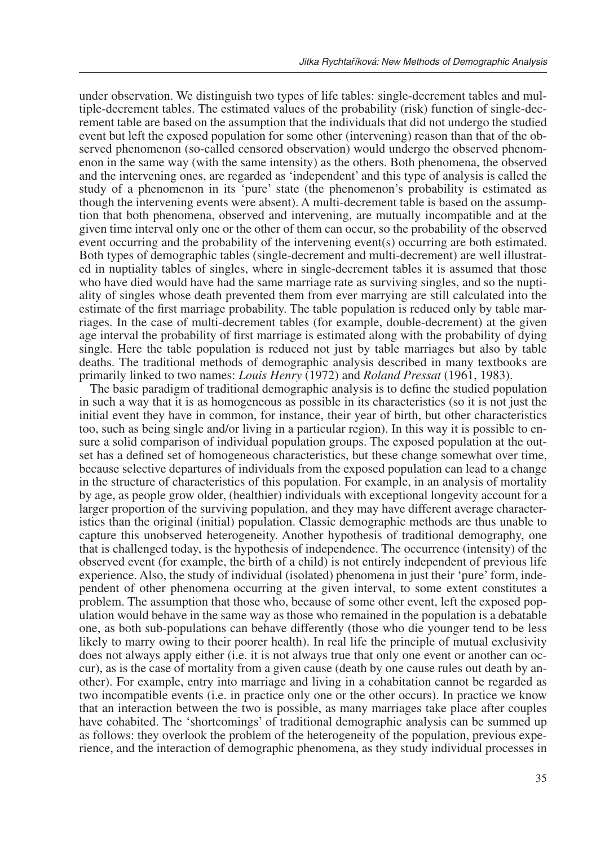under observation. We distinguish two types of life tables: single-decrement tables and multiple-decrement tables. The estimated values of the probability (risk) function of single-decrement table are based on the assumption that the individuals that did not undergo the studied event but left the exposed population for some other (intervening) reason than that of the observed phenomenon (so-called censored observation) would undergo the observed phenomenon in the same way (with the same intensity) as the others. Both phenomena, the observed and the intervening ones, are regarded as 'independent' and this type of analysis is called the study of a phenomenon in its 'pure' state (the phenomenon's probability is estimated as though the intervening events were absent). A multi-decrement table is based on the assumption that both phenomena, observed and intervening, are mutually incompatible and at the given time interval only one or the other of them can occur, so the probability of the observed event occurring and the probability of the intervening event(s) occurring are both estimated. Both types of demographic tables (single-decrement and multi-decrement) are well illustrated in nuptiality tables of singles, where in single-decrement tables it is assumed that those who have died would have had the same marriage rate as surviving singles, and so the nuptiality of singles whose death prevented them from ever marrying are still calculated into the estimate of the first marriage probability. The table population is reduced only by table marriages. In the case of multi-decrement tables (for example, double-decrement) at the given age interval the probability of first marriage is estimated along with the probability of dying single. Here the table population is reduced not just by table marriages but also by table deaths. The traditional methods of demographic analysis described in many textbooks are primarily linked to two names: *Louis Henry* (1972) and *Roland Pressat* (1961, 1983).

The basic paradigm of traditional demographic analysis is to define the studied population in such a way that it is as homogeneous as possible in its characteristics (so it is not just the initial event they have in common, for instance, their year of birth, but other characteristics too, such as being single and/or living in a particular region). In this way it is possible to ensure a solid comparison of individual population groups. The exposed population at the outset has a defined set of homogeneous characteristics, but these change somewhat over time, because selective departures of individuals from the exposed population can lead to a change in the structure of characteristics of this population. For example, in an analysis of mortality by age, as people grow older, (healthier) individuals with exceptional longevity account for a larger proportion of the surviving population, and they may have different average characteristics than the original (initial) population. Classic demographic methods are thus unable to capture this unobserved heterogeneity. Another hypothesis of traditional demography, one that is challenged today, is the hypothesis of independence. The occurrence (intensity) of the observed event (for example, the birth of a child) is not entirely independent of previous life experience. Also, the study of individual (isolated) phenomena in just their 'pure' form, independent of other phenomena occurring at the given interval, to some extent constitutes a problem. The assumption that those who, because of some other event, left the exposed population would behave in the same way as those who remained in the population is a debatable one, as both sub-populations can behave differently (those who die younger tend to be less likely to marry owing to their poorer health). In real life the principle of mutual exclusivity does not always apply either (i.e. it is not always true that only one event or another can occur), as is the case of mortality from a given cause (death by one cause rules out death by another). For example, entry into marriage and living in a cohabitation cannot be regarded as two incompatible events (i.e. in practice only one or the other occurs). In practice we know that an interaction between the two is possible, as many marriages take place after couples have cohabited. The 'shortcomings' of traditional demographic analysis can be summed up as follows: they overlook the problem of the heterogeneity of the population, previous experience, and the interaction of demographic phenomena, as they study individual processes in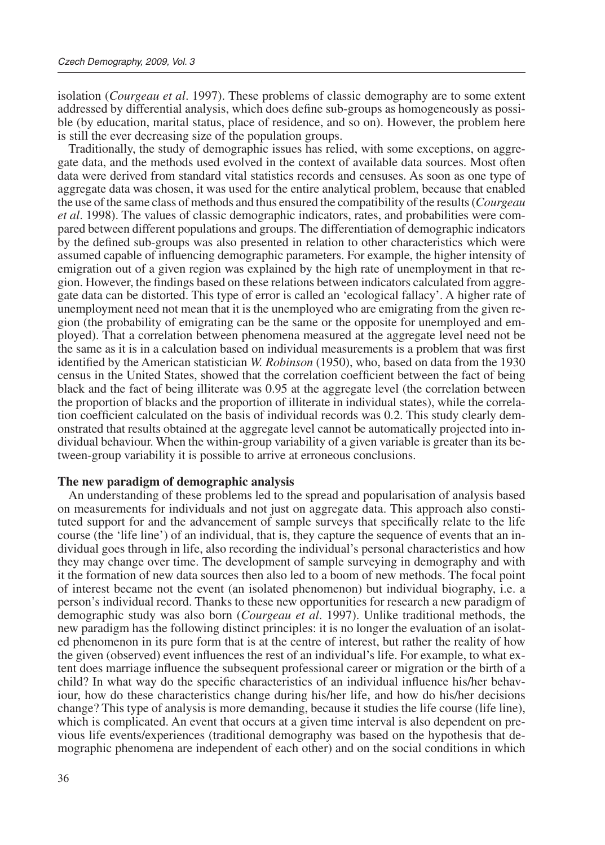isolation (*Courgeau et al*. 1997). These problems of classic demography are to some extent addressed by differential analysis, which does define sub-groups as homogeneously as possible (by education, marital status, place of residence, and so on). However, the problem here is still the ever decreasing size of the population groups.

Traditionally, the study of demographic issues has relied, with some exceptions, on aggregate data, and the methods used evolved in the context of available data sources. Most often data were derived from standard vital statistics records and censuses. As soon as one type of aggregate data was chosen, it was used for the entire analytical problem, because that enabled the use of the same class of methods and thus ensured the compatibility of the results (*Courgeau et al*. 1998). The values of classic demographic indicators, rates, and probabilities were compared between different populations and groups. The differentiation of demographic indicators by the defined sub-groups was also presented in relation to other characteristics which were assumed capable of influencing demographic parameters. For example, the higher intensity of emigration out of a given region was explained by the high rate of unemployment in that region. However, the findings based on these relations between indicators calculated from aggregate data can be distorted. This type of error is called an 'ecological fallacy'. A higher rate of unemployment need not mean that it is the unemployed who are emigrating from the given region (the probability of emigrating can be the same or the opposite for unemployed and employed). That a correlation between phenomena measured at the aggregate level need not be the same as it is in a calculation based on individual measurements is a problem that was first identified by the American statistician *W. Robinson* (1950), who, based on data from the 1930 census in the United States, showed that the correlation coefficient between the fact of being black and the fact of being illiterate was 0.95 at the aggregate level (the correlation between the proportion of blacks and the proportion of illiterate in individual states), while the correlation coefficient calculated on the basis of individual records was 0.2. This study clearly demonstrated that results obtained at the aggregate level cannot be automatically projected into individual behaviour. When the within-group variability of a given variable is greater than its between-group variability it is possible to arrive at erroneous conclusions.

#### **The new paradigm of demographic analysis**

An understanding of these problems led to the spread and popularisation of analysis based on measurements for individuals and not just on aggregate data. This approach also constituted support for and the advancement of sample surveys that specifically relate to the life course (the 'life line') of an individual, that is, they capture the sequence of events that an individual goes through in life, also recording the individual's personal characteristics and how they may change over time. The development of sample surveying in demography and with it the formation of new data sources then also led to a boom of new methods. The focal point of interest became not the event (an isolated phenomenon) but individual biography, i.e. a person's individual record. Thanks to these new opportunities for research a new paradigm of demographic study was also born (*Courgeau et al*. 1997). Unlike traditional methods, the new paradigm has the following distinct principles: it is no longer the evaluation of an isolated phenomenon in its pure form that is at the centre of interest, but rather the reality of how the given (observed) event influences the rest of an individual's life. For example, to what extent does marriage influence the subsequent professional career or migration or the birth of a child? In what way do the specific characteristics of an individual influence his/her behaviour, how do these characteristics change during his/her life, and how do his/her decisions change? This type of analysis is more demanding, because it studies the life course (life line), which is complicated. An event that occurs at a given time interval is also dependent on previous life events/experiences (traditional demography was based on the hypothesis that demographic phenomena are independent of each other) and on the social conditions in which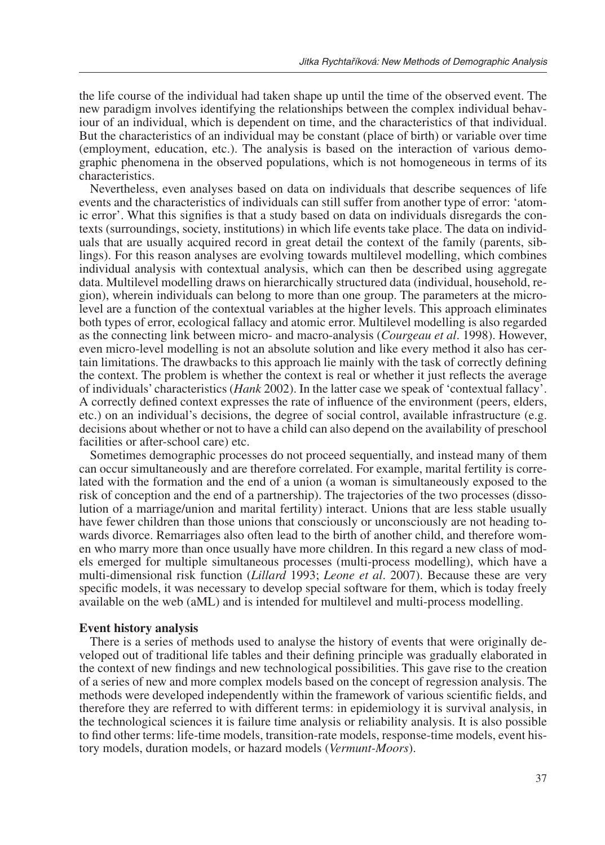the life course of the individual had taken shape up until the time of the observed event. The new paradigm involves identifying the relationships between the complex individual behaviour of an individual, which is dependent on time, and the characteristics of that individual. But the characteristics of an individual may be constant (place of birth) or variable over time (employment, education, etc.). The analysis is based on the interaction of various demographic phenomena in the observed populations, which is not homogeneous in terms of its characteristics.

Nevertheless, even analyses based on data on individuals that describe sequences of life events and the characteristics of individuals can still suffer from another type of error: 'atomic error'. What this signifies is that a study based on data on individuals disregards the contexts (surroundings, society, institutions) in which life events take place. The data on individuals that are usually acquired record in great detail the context of the family (parents, siblings). For this reason analyses are evolving towards multilevel modelling, which combines individual analysis with contextual analysis, which can then be described using aggregate data. Multilevel modelling draws on hierarchically structured data (individual, household, region), wherein individuals can belong to more than one group. The parameters at the microlevel are a function of the contextual variables at the higher levels. This approach eliminates both types of error, ecological fallacy and atomic error. Multilevel modelling is also regarded as the connecting link between micro- and macro-analysis (*Courgeau et al*. 1998). However, even micro-level modelling is not an absolute solution and like every method it also has certain limitations. The drawbacks to this approach lie mainly with the task of correctly defining the context. The problem is whether the context is real or whether it just reflects the average of individuals' characteristics (*Hank* 2002). In the latter case we speak of 'contextual fallacy'. A correctly defined context expresses the rate of influence of the environment (peers, elders, etc.) on an individual's decisions, the degree of social control, available infrastructure (e.g. decisions about whether or not to have a child can also depend on the availability of preschool facilities or after-school care) etc.

Sometimes demographic processes do not proceed sequentially, and instead many of them can occur simultaneously and are therefore correlated. For example, marital fertility is correlated with the formation and the end of a union (a woman is simultaneously exposed to the risk of conception and the end of a partnership). The trajectories of the two processes (dissolution of a marriage/union and marital fertility) interact. Unions that are less stable usually have fewer children than those unions that consciously or unconsciously are not heading towards divorce. Remarriages also often lead to the birth of another child, and therefore women who marry more than once usually have more children. In this regard a new class of models emerged for multiple simultaneous processes (multi-process modelling), which have a multi-dimensional risk function (*Lillard* 1993; *Leone et al*. 2007). Because these are very specific models, it was necessary to develop special software for them, which is today freely available on the web (aML) and is intended for multilevel and multi-process modelling.

#### **Event history analysis**

There is a series of methods used to analyse the history of events that were originally developed out of traditional life tables and their defining principle was gradually elaborated in the context of new findings and new technological possibilities. This gave rise to the creation of a series of new and more complex models based on the concept of regression analysis. The methods were developed independently within the framework of various scientific fields, and therefore they are referred to with different terms: in epidemiology it is survival analysis, in the technological sciences it is failure time analysis or reliability analysis. It is also possible to find other terms: life-time models, transition-rate models, response-time models, event history models, duration models, or hazard models (*Vermunt-Moors*).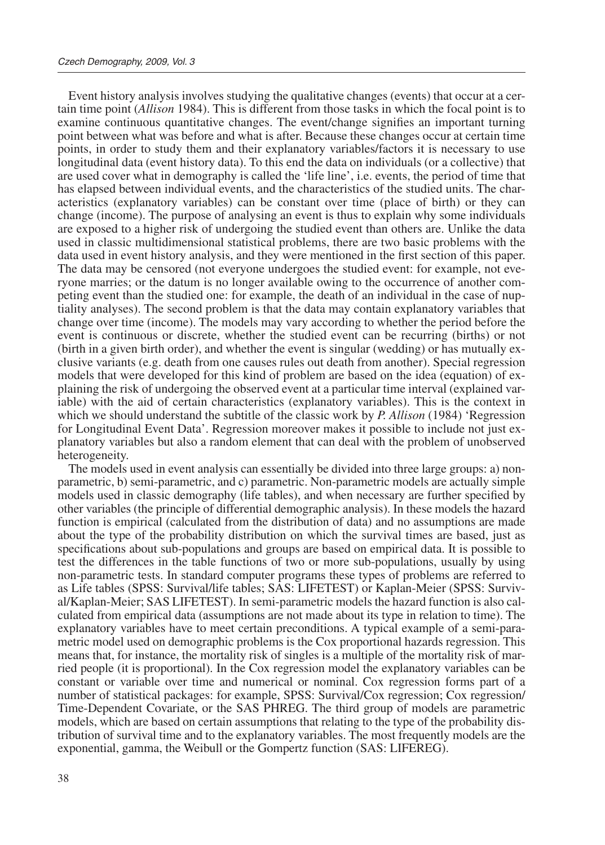Event history analysis involves studying the qualitative changes (events) that occur at a certain time point (*Allison* 1984). This is different from those tasks in which the focal point is to examine continuous quantitative changes. The event/change signifies an important turning point between what was before and what is after. Because these changes occur at certain time points, in order to study them and their explanatory variables/factors it is necessary to use longitudinal data (event history data). To this end the data on individuals (or a collective) that are used cover what in demography is called the 'life line', i.e. events, the period of time that has elapsed between individual events, and the characteristics of the studied units. The characteristics (explanatory variables) can be constant over time (place of birth) or they can change (income). The purpose of analysing an event is thus to explain why some individuals are exposed to a higher risk of undergoing the studied event than others are. Unlike the data used in classic multidimensional statistical problems, there are two basic problems with the data used in event history analysis, and they were mentioned in the first section of this paper. The data may be censored (not everyone undergoes the studied event: for example, not everyone marries; or the datum is no longer available owing to the occurrence of another competing event than the studied one: for example, the death of an individual in the case of nuptiality analyses). The second problem is that the data may contain explanatory variables that change over time (income). The models may vary according to whether the period before the event is continuous or discrete, whether the studied event can be recurring (births) or not (birth in a given birth order), and whether the event is singular (wedding) or has mutually exclusive variants (e.g. death from one causes rules out death from another). Special regression models that were developed for this kind of problem are based on the idea (equation) of explaining the risk of undergoing the observed event at a particular time interval (explained variable) with the aid of certain characteristics (explanatory variables). This is the context in which we should understand the subtitle of the classic work by *P. Allison* (1984) 'Regression for Longitudinal Event Data'. Regression moreover makes it possible to include not just explanatory variables but also a random element that can deal with the problem of unobserved heterogeneity.

The models used in event analysis can essentially be divided into three large groups: a) nonparametric, b) semi-parametric, and c) parametric. Non-parametric models are actually simple models used in classic demography (life tables), and when necessary are further specified by other variables (the principle of differential demographic analysis). In these models the hazard function is empirical (calculated from the distribution of data) and no assumptions are made about the type of the probability distribution on which the survival times are based, just as specifications about sub-populations and groups are based on empirical data. It is possible to test the differences in the table functions of two or more sub-populations, usually by using non-parametric tests. In standard computer programs these types of problems are referred to as Life tables (SPSS: Survival/life tables; SAS: LIFETEST) or Kaplan-Meier (SPSS: Survival/Kaplan-Meier; SAS LIFETEST). In semi-parametric models the hazard function is also calculated from empirical data (assumptions are not made about its type in relation to time). The explanatory variables have to meet certain preconditions. A typical example of a semi-parametric model used on demographic problems is the Cox proportional hazards regression. This means that, for instance, the mortality risk of singles is a multiple of the mortality risk of married people (it is proportional). In the Cox regression model the explanatory variables can be constant or variable over time and numerical or nominal. Cox regression forms part of a number of statistical packages: for example, SPSS: Survival/Cox regression; Cox regression/ Time-Dependent Covariate, or the SAS PHREG. The third group of models are parametric models, which are based on certain assumptions that relating to the type of the probability distribution of survival time and to the explanatory variables. The most frequently models are the exponential, gamma, the Weibull or the Gompertz function (SAS: LIFEREG).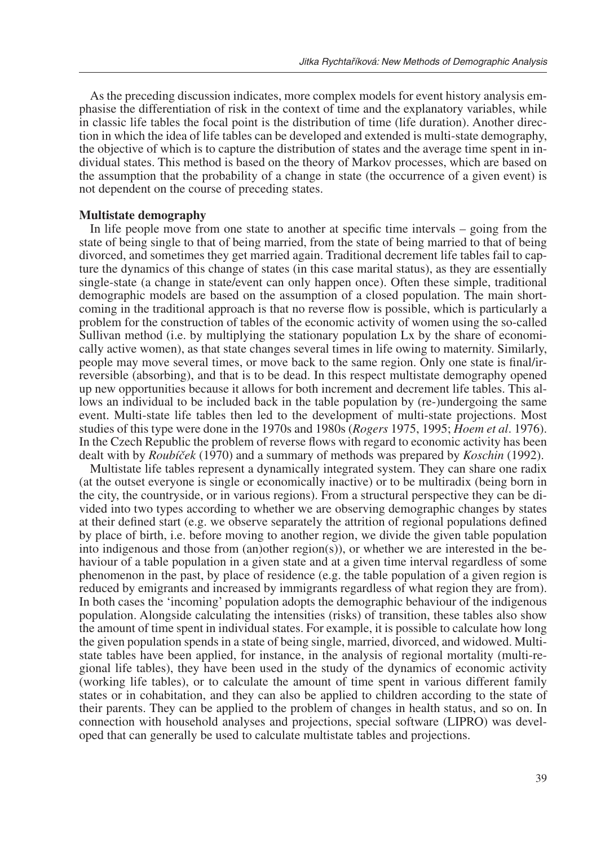As the preceding discussion indicates, more complex models for event history analysis emphasise the differentiation of risk in the context of time and the explanatory variables, while in classic life tables the focal point is the distribution of time (life duration). Another direction in which the idea of life tables can be developed and extended is multi-state demography, the objective of which is to capture the distribution of states and the average time spent in individual states. This method is based on the theory of Markov processes, which are based on the assumption that the probability of a change in state (the occurrence of a given event) is not dependent on the course of preceding states.

#### **Multistate demography**

In life people move from one state to another at specific time intervals – going from the state of being single to that of being married, from the state of being married to that of being divorced, and sometimes they get married again. Traditional decrement life tables fail to capture the dynamics of this change of states (in this case marital status), as they are essentially single-state (a change in state/event can only happen once). Often these simple, traditional demographic models are based on the assumption of a closed population. The main shortcoming in the traditional approach is that no reverse flow is possible, which is particularly a problem for the construction of tables of the economic activity of women using the so-called Sullivan method (i.e. by multiplying the stationary population Lx by the share of economically active women), as that state changes several times in life owing to maternity. Similarly, people may move several times, or move back to the same region. Only one state is final/irreversible (absorbing), and that is to be dead. In this respect multistate demography opened up new opportunities because it allows for both increment and decrement life tables. This allows an individual to be included back in the table population by (re-)undergoing the same event. Multi-state life tables then led to the development of multi-state projections. Most studies of this type were done in the 1970s and 1980s (*Rogers* 1975, 1995; *Hoem et al*. 1976). In the Czech Republic the problem of reverse flows with regard to economic activity has been dealt with by *Roubíček* (1970) and a summary of methods was prepared by *Koschin* (1992).

Multistate life tables represent a dynamically integrated system. They can share one radix (at the outset everyone is single or economically inactive) or to be multiradix (being born in the city, the countryside, or in various regions). From a structural perspective they can be divided into two types according to whether we are observing demographic changes by states at their defined start (e.g. we observe separately the attrition of regional populations defined by place of birth, i.e. before moving to another region, we divide the given table population into indigenous and those from  $(an)$ other region $(s)$ ), or whether we are interested in the behaviour of a table population in a given state and at a given time interval regardless of some phenomenon in the past, by place of residence (e.g. the table population of a given region is reduced by emigrants and increased by immigrants regardless of what region they are from). In both cases the 'incoming' population adopts the demographic behaviour of the indigenous population. Alongside calculating the intensities (risks) of transition, these tables also show the amount of time spent in individual states. For example, it is possible to calculate how long the given population spends in a state of being single, married, divorced, and widowed. Multistate tables have been applied, for instance, in the analysis of regional mortality (multi-regional life tables), they have been used in the study of the dynamics of economic activity (working life tables), or to calculate the amount of time spent in various different family states or in cohabitation, and they can also be applied to children according to the state of their parents. They can be applied to the problem of changes in health status, and so on. In connection with household analyses and projections, special software (LIPRO) was developed that can generally be used to calculate multistate tables and projections.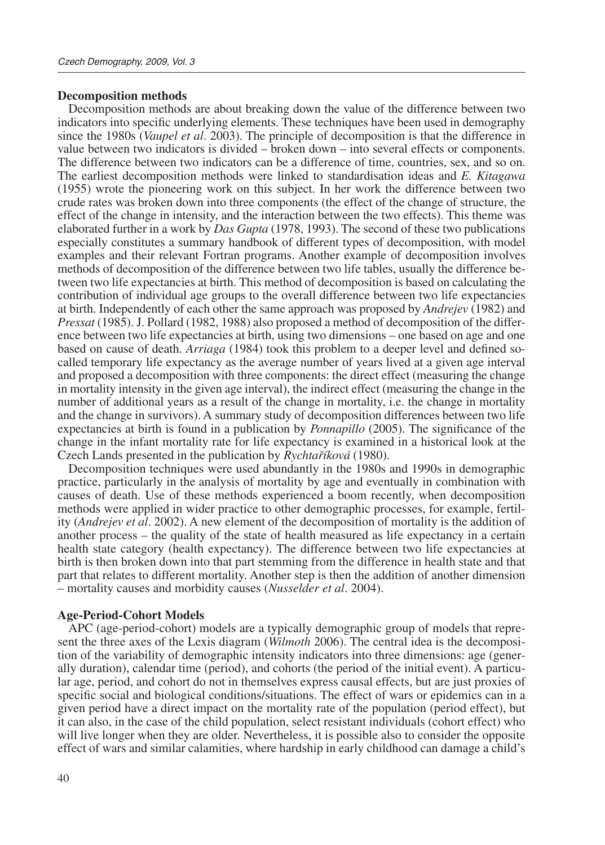#### **Decomposition methods**

Decomposition methods are about breaking down the value of the difference between two indicators into specific underlying elements. These techniques have been used in demography since the 1980s (*Vaupel et al*. 2003). The principle of decomposition is that the difference in value between two indicators is divided – broken down – into several effects or components. The difference between two indicators can be a difference of time, countries, sex, and so on. The earliest decomposition methods were linked to standardisation ideas and *E. Kitagawa* (1955) wrote the pioneering work on this subject. In her work the difference between two crude rates was broken down into three components (the effect of the change of structure, the effect of the change in intensity, and the interaction between the two effects). This theme was elaborated further in a work by *Das Gupta* (1978, 1993). The second of these two publications especially constitutes a summary handbook of different types of decomposition, with model examples and their relevant Fortran programs. Another example of decomposition involves methods of decomposition of the difference between two life tables, usually the difference between two life expectancies at birth. This method of decomposition is based on calculating the contribution of individual age groups to the overall difference between two life expectancies at birth. Independently of each other the same approach was proposed by *Andrejev* (1982) and *Pressat* (1985). J. Pollard (1982, 1988) also proposed a method of decomposition of the difference between two life expectancies at birth, using two dimensions – one based on age and one based on cause of death. *Arriaga* (1984) took this problem to a deeper level and defined socalled temporary life expectancy as the average number of years lived at a given age interval and proposed a decomposition with three components: the direct effect (measuring the change in mortality intensity in the given age interval), the indirect effect (measuring the change in the number of additional years as a result of the change in mortality, i.e. the change in mortality and the change in survivors). A summary study of decomposition differences between two life expectancies at birth is found in a publication by *Ponnapillo* (2005). The significance of the change in the infant mortality rate for life expectancy is examined in a historical look at the Czech Lands presented in the publication by *Rychtaříková* (1980).

Decomposition techniques were used abundantly in the 1980s and 1990s in demographic practice, particularly in the analysis of mortality by age and eventually in combination with causes of death. Use of these methods experienced a boom recently, when decomposition methods were applied in wider practice to other demographic processes, for example, fertility (*Andrejev et al*. 2002). A new element of the decomposition of mortality is the addition of another process – the quality of the state of health measured as life expectancy in a certain health state category (health expectancy). The difference between two life expectancies at birth is then broken down into that part stemming from the difference in health state and that part that relates to different mortality. Another step is then the addition of another dimension – mortality causes and morbidity causes (*Nusselder et al*. 2004).

#### **Age-Period-Cohort Models**

APC (age-period-cohort) models are a typically demographic group of models that represent the three axes of the Lexis diagram (*Wilmoth* 2006). The central idea is the decomposition of the variability of demographic intensity indicators into three dimensions: age (generally duration), calendar time (period), and cohorts (the period of the initial event). A particular age, period, and cohort do not in themselves express causal effects, but are just proxies of specific social and biological conditions/situations. The effect of wars or epidemics can in a given period have a direct impact on the mortality rate of the population (period effect), but it can also, in the case of the child population, select resistant individuals (cohort effect) who will live longer when they are older. Nevertheless, it is possible also to consider the opposite effect of wars and similar calamities, where hardship in early childhood can damage a child's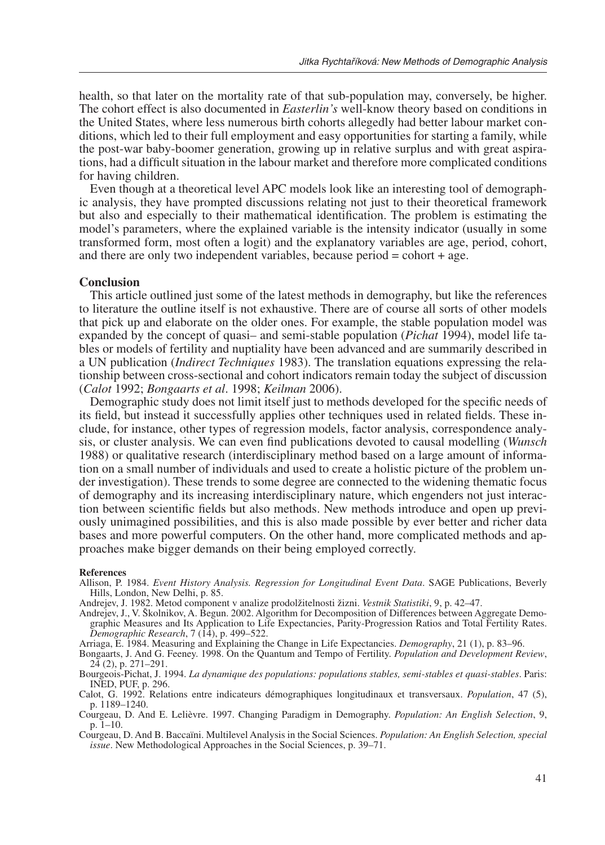health, so that later on the mortality rate of that sub-population may, conversely, be higher. The cohort effect is also documented in *Easterlin's* well-know theory based on conditions in the United States, where less numerous birth cohorts allegedly had better labour market conditions, which led to their full employment and easy opportunities for starting a family, while the post-war baby-boomer generation, growing up in relative surplus and with great aspirations, had a difficult situation in the labour market and therefore more complicated conditions for having children.

Even though at a theoretical level APC models look like an interesting tool of demographic analysis, they have prompted discussions relating not just to their theoretical framework but also and especially to their mathematical identification. The problem is estimating the model's parameters, where the explained variable is the intensity indicator (usually in some transformed form, most often a logit) and the explanatory variables are age, period, cohort, and there are only two independent variables, because period  $=$  cohort  $+$  age.

#### **Conclusion**

This article outlined just some of the latest methods in demography, but like the references to literature the outline itself is not exhaustive. There are of course all sorts of other models that pick up and elaborate on the older ones. For example, the stable population model was expanded by the concept of quasi– and semi-stable population (*Pichat* 1994), model life tables or models of fertility and nuptiality have been advanced and are summarily described in a UN publication (*Indirect Techniques* 1983). The translation equations expressing the relationship between cross-sectional and cohort indicators remain today the subject of discussion (*Calot* 1992; *Bongaarts et al*. 1998; *Keilman* 2006).

Demographic study does not limit itself just to methods developed for the specific needs of its field, but instead it successfully applies other techniques used in related fields. These include, for instance, other types of regression models, factor analysis, correspondence analysis, or cluster analysis. We can even find publications devoted to causal modelling (*Wunsch* 1988) or qualitative research (interdisciplinary method based on a large amount of information on a small number of individuals and used to create a holistic picture of the problem under investigation). These trends to some degree are connected to the widening thematic focus of demography and its increasing interdisciplinary nature, which engenders not just interaction between scientific fields but also methods. New methods introduce and open up previously unimagined possibilities, and this is also made possible by ever better and richer data bases and more powerful computers. On the other hand, more complicated methods and approaches make bigger demands on their being employed correctly.

#### **References**

- Allison, P. 1984. *Event History Analysis. Regression for Longitudinal Event Data*. SAGE Publications, Beverly Hills, London, New Delhi, p. 85.
- Andrejev, J. 1982. Metod component v analize prodolžitelnosti žizni. *Vestnik Statistiki*, 9, p. 42–47.
- Andrejev, J., V. Školnikov, A. Begun. 2002. Algorithm for Decomposition of Differences between Aggregate Demographic Measures and Its Application to Life Expectancies, Parity-Progression Ratios and Total Fertility Rates. *Demographic Research*, 7 (14), p. 499–522.
- Arriaga, E. 1984. Measuring and Explaining the Change in Life Expectancies. *Demography*, 21 (1), p. 83–96.
- Bongaarts, J. And G. Feeney. 1998. On the Quantum and Tempo of Fertility. *Population and Development Review*,  $24$  (2), p. 271-291.
- Bourgeois-Pichat, J. 1994. *La dynamique des populations: populations stables, semi-stables et quasi-stables*. Paris: INED, PUF, p. 296.
- Calot, G. 1992. Relations entre indicateurs démographiques longitudinaux et transversaux. *Population*, 47 (5), p. 1189–1240.
- Courgeau, D. And E. Lelièvre. 1997. Changing Paradigm in Demography. *Population: An English Selection*, 9, p. 1–10.
- Courgeau, D. And B. Baccaïni. Multilevel Analysis in the Social Sciences. *Population: An English Selection, special issue*. New Methodological Approaches in the Social Sciences, p. 39–71.